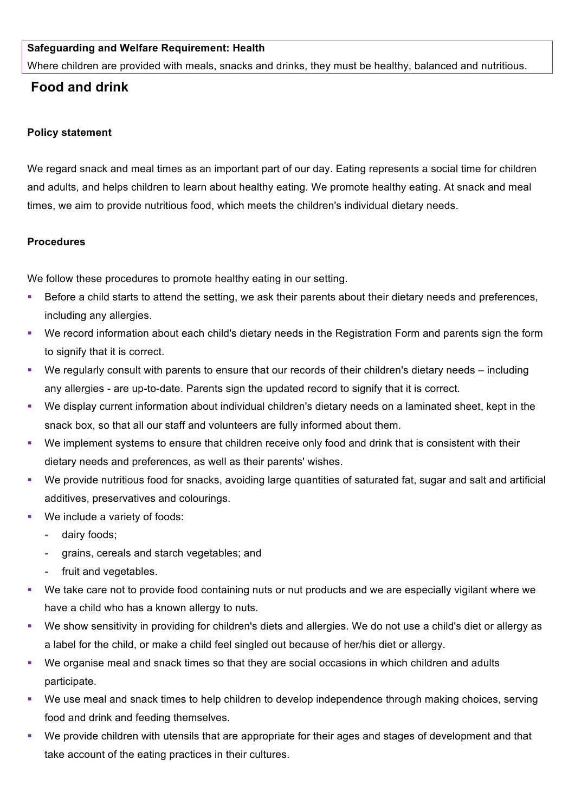### **Safeguarding and Welfare Requirement: Health**

Where children are provided with meals, snacks and drinks, they must be healthy, balanced and nutritious.

# **Food and drink**

#### **Policy statement**

We regard snack and meal times as an important part of our day. Eating represents a social time for children and adults, and helps children to learn about healthy eating. We promote healthy eating. At snack and meal times, we aim to provide nutritious food, which meets the children's individual dietary needs.

#### **Procedures**

We follow these procedures to promote healthy eating in our setting.

- Before a child starts to attend the setting, we ask their parents about their dietary needs and preferences, including any allergies.
- We record information about each child's dietary needs in the Registration Form and parents sign the form to signify that it is correct.
- We regularly consult with parents to ensure that our records of their children's dietary needs including any allergies - are up-to-date. Parents sign the updated record to signify that it is correct.
- We display current information about individual children's dietary needs on a laminated sheet, kept in the snack box, so that all our staff and volunteers are fully informed about them.
- § We implement systems to ensure that children receive only food and drink that is consistent with their dietary needs and preferences, as well as their parents' wishes.
- We provide nutritious food for snacks, avoiding large quantities of saturated fat, sugar and salt and artificial additives, preservatives and colourings.
- We include a variety of foods:
	- **-** dairy foods;
	- **-** grains, cereals and starch vegetables; and
	- **-** fruit and vegetables.
- We take care not to provide food containing nuts or nut products and we are especially vigilant where we have a child who has a known allergy to nuts.
- § We show sensitivity in providing for children's diets and allergies. We do not use a child's diet or allergy as a label for the child, or make a child feel singled out because of her/his diet or allergy.
- § We organise meal and snack times so that they are social occasions in which children and adults participate.
- We use meal and snack times to help children to develop independence through making choices, serving food and drink and feeding themselves.
- We provide children with utensils that are appropriate for their ages and stages of development and that take account of the eating practices in their cultures.